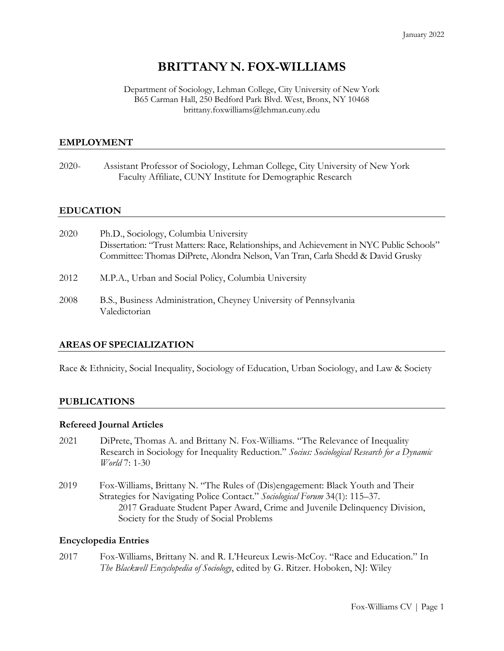# **BRITTANY N. FOX-WILLIAMS**

#### Department of Sociology, Lehman College, City University of New York B65 Carman Hall, 250 Bedford Park Blvd. West, Bronx, NY 10468 brittany.foxwilliams@lehman.cuny.edu

## **EMPLOYMENT**

2020- Assistant Professor of Sociology, Lehman College, City University of New York Faculty Affiliate, CUNY Institute for Demographic Research

## **EDUCATION**

| 2020 | Ph.D., Sociology, Columbia University<br>Dissertation: "Trust Matters: Race, Relationships, and Achievement in NYC Public Schools"<br>Committee: Thomas DiPrete, Alondra Nelson, Van Tran, Carla Shedd & David Grusky |
|------|-----------------------------------------------------------------------------------------------------------------------------------------------------------------------------------------------------------------------|
| 2012 | M.P.A., Urban and Social Policy, Columbia University                                                                                                                                                                  |
| 2008 | B.S., Business Administration, Cheyney University of Pennsylvania<br>Valedictorian                                                                                                                                    |

#### **AREAS OF SPECIALIZATION**

Race & Ethnicity, Social Inequality, Sociology of Education, Urban Sociology, and Law & Society

## **PUBLICATIONS**

#### **Refereed Journal Articles**

- 2021 DiPrete, Thomas A. and Brittany N. Fox-Williams. "The Relevance of Inequality Research in Sociology for Inequality Reduction." *Socius: Sociological Research for a Dynamic World* 7: 1-30
- 2019 Fox-Williams, Brittany N. "The Rules of (Dis)engagement: Black Youth and Their Strategies for Navigating Police Contact." *Sociological Forum* 34(1): 115–37. 2017 Graduate Student Paper Award, Crime and Juvenile Delinquency Division, Society for the Study of Social Problems

## **Encyclopedia Entries**

2017 Fox-Williams, Brittany N. and R. L'Heureux Lewis-McCoy. "Race and Education." In *The Blackwell Encyclopedia of Sociology*, edited by G. Ritzer. Hoboken, NJ: Wiley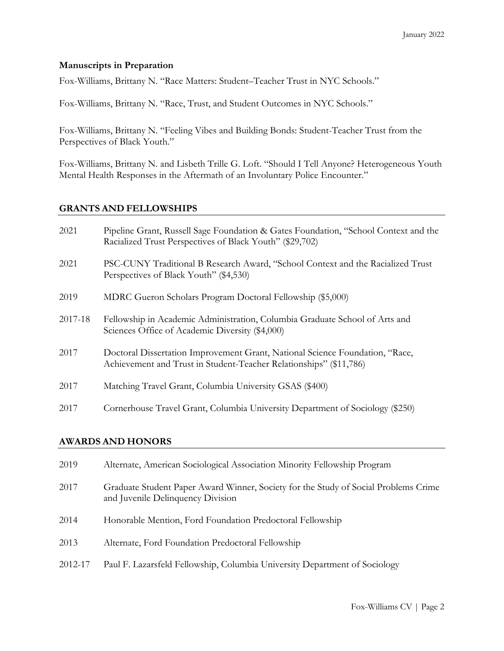## **Manuscripts in Preparation**

Fox-Williams, Brittany N. "Race Matters: Student–Teacher Trust in NYC Schools."

Fox-Williams, Brittany N. "Race, Trust, and Student Outcomes in NYC Schools."

Fox-Williams, Brittany N. "Feeling Vibes and Building Bonds: Student-Teacher Trust from the Perspectives of Black Youth."

Fox-Williams, Brittany N. and Lisbeth Trille G. Loft. "Should I Tell Anyone? Heterogeneous Youth Mental Health Responses in the Aftermath of an Involuntary Police Encounter."

#### **GRANTS AND FELLOWSHIPS**

| 2021    | Pipeline Grant, Russell Sage Foundation & Gates Foundation, "School Context and the<br>Racialized Trust Perspectives of Black Youth" (\$29,702)    |
|---------|----------------------------------------------------------------------------------------------------------------------------------------------------|
| 2021    | PSC-CUNY Traditional B Research Award, "School Context and the Racialized Trust<br>Perspectives of Black Youth" (\$4,530)                          |
| 2019    | MDRC Gueron Scholars Program Doctoral Fellowship (\$5,000)                                                                                         |
| 2017-18 | Fellowship in Academic Administration, Columbia Graduate School of Arts and<br>Sciences Office of Academic Diversity (\$4,000)                     |
| 2017    | Doctoral Dissertation Improvement Grant, National Science Foundation, "Race,<br>Achievement and Trust in Student-Teacher Relationships" (\$11,786) |
| 2017    | Matching Travel Grant, Columbia University GSAS (\$400)                                                                                            |
| 2017    | Cornerhouse Travel Grant, Columbia University Department of Sociology (\$250)                                                                      |

## **AWARDS AND HONORS**

| 2019    | Alternate, American Sociological Association Minority Fellowship Program                                                 |
|---------|--------------------------------------------------------------------------------------------------------------------------|
| 2017    | Graduate Student Paper Award Winner, Society for the Study of Social Problems Crime<br>and Juvenile Delinquency Division |
| 2014    | Honorable Mention, Ford Foundation Predoctoral Fellowship                                                                |
| 2013    | Alternate, Ford Foundation Predoctoral Fellowship                                                                        |
| 2012-17 | Paul F. Lazarsfeld Fellowship, Columbia University Department of Sociology                                               |
|         |                                                                                                                          |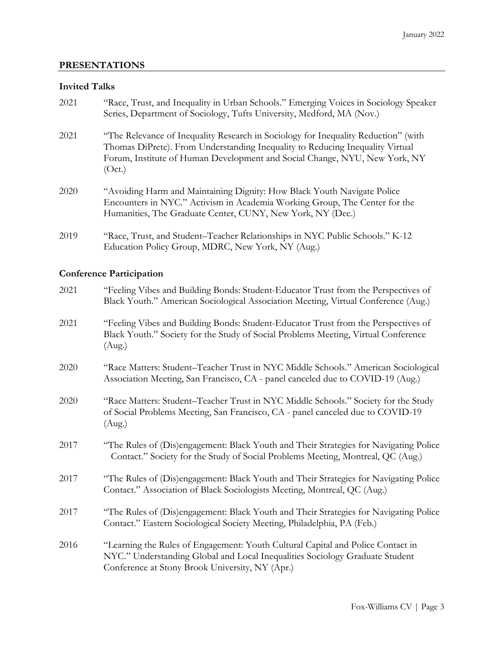# **PRESENTATIONS**

#### **Invited Talks**

| 2021 | "Race, Trust, and Inequality in Urban Schools." Emerging Voices in Sociology Speaker<br>Series, Department of Sociology, Tufts University, Medford, MA (Nov.)                                                                                               |
|------|-------------------------------------------------------------------------------------------------------------------------------------------------------------------------------------------------------------------------------------------------------------|
| 2021 | "The Relevance of Inequality Research in Sociology for Inequality Reduction" (with<br>Thomas DiPrete). From Understanding Inequality to Reducing Inequality Virtual<br>Forum, Institute of Human Development and Social Change, NYU, New York, NY<br>(Oct.) |
| 2020 | "Avoiding Harm and Maintaining Dignity: How Black Youth Navigate Police<br>Encounters in NYC." Activism in Academia Working Group, The Center for the<br>Humanities, The Graduate Center, CUNY, New York, NY (Dec.)                                         |
| 2019 | "Race, Trust, and Student–Teacher Relationships in NYC Public Schools." K-12<br>Education Policy Group, MDRC, New York, NY (Aug.)                                                                                                                           |

# **Conference Participation**

| 2021 | "Feeling Vibes and Building Bonds: Student-Educator Trust from the Perspectives of<br>Black Youth." American Sociological Association Meeting, Virtual Conference (Aug.)                                           |
|------|--------------------------------------------------------------------------------------------------------------------------------------------------------------------------------------------------------------------|
| 2021 | "Feeling Vibes and Building Bonds: Student-Educator Trust from the Perspectives of<br>Black Youth." Society for the Study of Social Problems Meeting, Virtual Conference<br>(Aug.)                                 |
| 2020 | "Race Matters: Student-Teacher Trust in NYC Middle Schools." American Sociological<br>Association Meeting, San Francisco, CA - panel canceled due to COVID-19 (Aug.)                                               |
| 2020 | "Race Matters: Student-Teacher Trust in NYC Middle Schools." Society for the Study<br>of Social Problems Meeting, San Francisco, CA - panel canceled due to COVID-19<br>(Aug.)                                     |
| 2017 | "The Rules of (Dis)engagement: Black Youth and Their Strategies for Navigating Police<br>Contact." Society for the Study of Social Problems Meeting, Montreal, QC (Aug.)                                           |
| 2017 | "The Rules of (Dis)engagement: Black Youth and Their Strategies for Navigating Police<br>Contact." Association of Black Sociologists Meeting, Montreal, QC (Aug.)                                                  |
| 2017 | "The Rules of (Dis)engagement: Black Youth and Their Strategies for Navigating Police<br>Contact." Eastern Sociological Society Meeting, Philadelphia, PA (Feb.)                                                   |
| 2016 | "Learning the Rules of Engagement: Youth Cultural Capital and Police Contact in<br>NYC." Understanding Global and Local Inequalities Sociology Graduate Student<br>Conference at Stony Brook University, NY (Apr.) |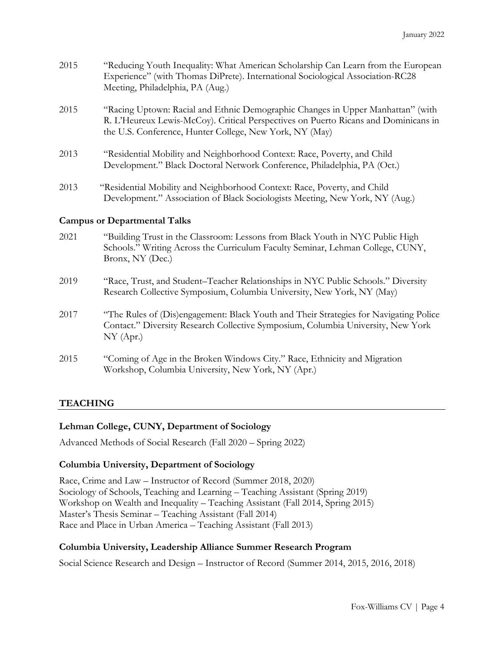| 2015 | "Reducing Youth Inequality: What American Scholarship Can Learn from the European<br>Experience" (with Thomas DiPrete). International Sociological Association-RC28<br>Meeting, Philadelphia, PA (Aug.)                           |
|------|-----------------------------------------------------------------------------------------------------------------------------------------------------------------------------------------------------------------------------------|
| 2015 | "Racing Uptown: Racial and Ethnic Demographic Changes in Upper Manhattan" (with<br>R. L'Heureux Lewis-McCoy). Critical Perspectives on Puerto Ricans and Dominicans in<br>the U.S. Conference, Hunter College, New York, NY (May) |
| 2013 | "Residential Mobility and Neighborhood Context: Race, Poverty, and Child<br>Development." Black Doctoral Network Conference, Philadelphia, PA (Oct.)                                                                              |

2013 "Residential Mobility and Neighborhood Context: Race, Poverty, and Child Development." Association of Black Sociologists Meeting, New York, NY (Aug.)

## **Campus or Departmental Talks**

| 2021 | "Building Trust in the Classroom: Lessons from Black Youth in NYC Public High  |
|------|--------------------------------------------------------------------------------|
|      | Schools." Writing Across the Curriculum Faculty Seminar, Lehman College, CUNY, |
|      | Bronx, NY (Dec.)                                                               |
|      |                                                                                |

- 2019 "Race, Trust, and Student–Teacher Relationships in NYC Public Schools." Diversity Research Collective Symposium, Columbia University, New York, NY (May)
- 2017 "The Rules of (Dis)engagement: Black Youth and Their Strategies for Navigating Police Contact." Diversity Research Collective Symposium, Columbia University, New York NY (Apr.)
- 2015 "Coming of Age in the Broken Windows City." Race, Ethnicity and Migration Workshop, Columbia University, New York, NY (Apr.)

# **TEACHING**

## **Lehman College, CUNY, Department of Sociology**

Advanced Methods of Social Research (Fall 2020 – Spring 2022)

## **Columbia University, Department of Sociology**

Race, Crime and Law – Instructor of Record (Summer 2018, 2020) Sociology of Schools, Teaching and Learning – Teaching Assistant (Spring 2019) Workshop on Wealth and Inequality – Teaching Assistant (Fall 2014, Spring 2015) Master's Thesis Seminar – Teaching Assistant (Fall 2014) Race and Place in Urban America – Teaching Assistant (Fall 2013)

## **Columbia University, Leadership Alliance Summer Research Program**

Social Science Research and Design – Instructor of Record (Summer 2014, 2015, 2016, 2018)